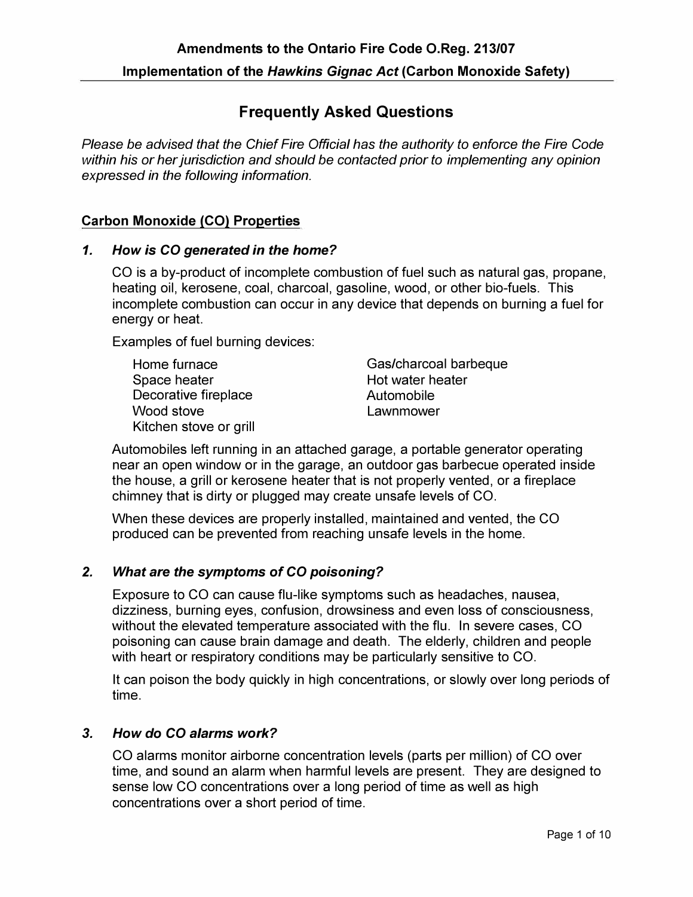# **Frequently Asked Questions**

*Please be advised that the Chief Fire Official has the authority to enforce the Fire Code within his or her jurisdiction and should be contacted prior to implementing any opinion expressed in the following information.* 

### **Carbon Monoxide (CO) Properties**

#### *1. How is* **CO** *generated in the home?*

CO is a by-product of incomplete combustion of fuel such as natural gas, propane, heating oil, kerosene, coal, charcoal, gasoline, wood, or other bio-fuels. This incomplete combustion can occur in any device that depends on burning a fuel for energy or heat.

Examples of fuel burning devices:

Space heater **Hot water heater** Hot water heater Decorative fireplace and all automobile<br>
Wood stove and all automobile<br>
Vood stove Kitchen stove or grill

Home furnace Gas/charcoal barbeque Lawnmower

Automobiles left running in an attached garage, a portable generator operating near an open window or in the garage, an outdoor gas barbecue operated inside the house, a grill or kerosene heater that is not properly vented, or a fireplace chimney that is dirty or plugged may create unsafe levels of CO.

When these devices are properly installed, maintained and vented, the CO produced can be prevented from reaching unsafe levels in the home.

### *2. What are the symptoms of* **CO** *poisoning?*

Exposure to CO can cause flu-like symptoms such as headaches, nausea, dizziness, burning eyes, confusion, drowsiness and even loss of consciousness, without the elevated temperature associated with the flu. In severe cases, CO poisoning can cause brain damage and death. The elderly, children and people with heart or respiratory conditions may be particularly sensitive to CO.

It can poison the body quickly in high concentrations, or slowly over long periods of time.

### *3. How do* **CO** *alarms work?*

CO alarms monitor airborne concentration levels (parts per million) of CO over time, and sound an alarm when harmful levels are present. They are designed to sense low CO concentrations over a long period of time as well as high concentrations over a short period of time.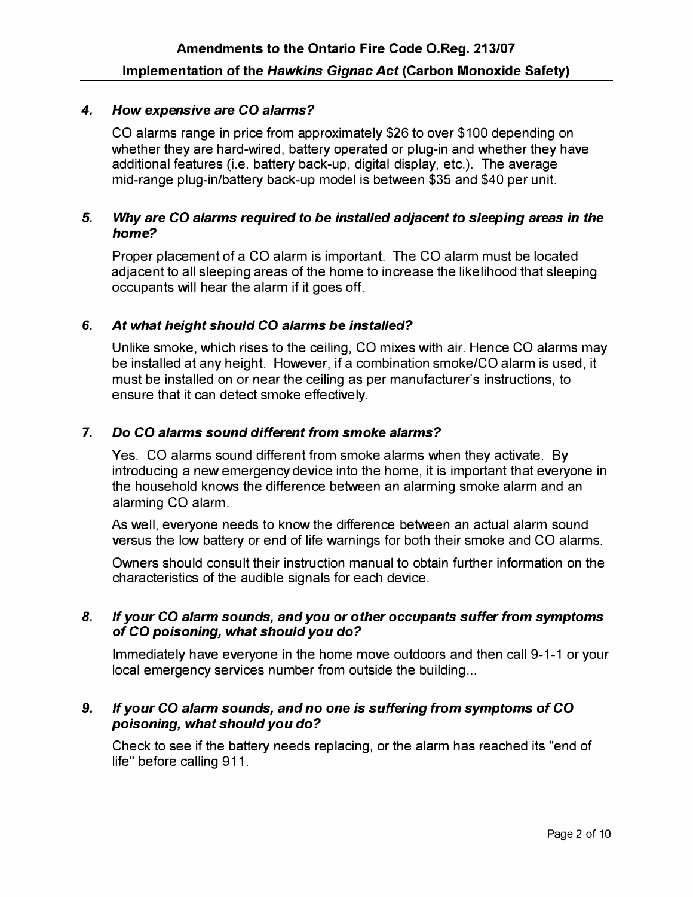### *4. How expensive are CO alarms?*

CO alarms range in price from approximately \$26 to over \$100 depending on whether they are hard-wired, battery operated or plug-in and whether they have additional features (i.e. battery back-up, digital display, etc.). The average mid-range plug-in/battery back-up model is between \$35 and \$40 per unit.

#### *5. Why are CO alarms required to be installed adjacent to sleeping areas in the home?*

Proper placement of a CO alarm is important. The CO alarm must be located adjacent to all sleeping areas of the home to increase the likelihood that sleeping occupants will hear the alarm if it goes off.

### **6.** *At what height should CO alarms be installed?*

Unlike smoke, which rises to the ceiling, CO mixes with air. Hence CO alarms may be installed at any height. However, if a combination smoke/CO alarm is used, it must be installed on or near the ceiling as per manufacturer's instructions, to ensure that it can detect smoke effectively.

### **7.** *Do CO alarms sound different from smoke alarms?*

Yes. CO alarms sound different from smoke alarms when they activate. By introducing a new emergency device into the home, it is important that everyone in the household knows the difference between an alarming smoke alarm and an alarming CO alarm.

As well, everyone needs to know the difference between an actual alarm sound versus the low battery or end of life warnings for both their smoke and CO alarms.

Owners should consult their instruction manual to obtain further information on the characteristics of the audible signals for each device.

#### *8. If your CO alarm sounds, and you or other occupants suffer from symptoms of CO poisoning, what should you do?*

Immediately have everyone in the home move outdoors and then call 9-1-1 or your local emergency services number from outside the building ...

### *9. If your CO alarm sounds, and no one is suffering from symptoms of CO poisoning, what should you do?*

Check to see if the battery needs replacing, or the alarm has reached its "end of life" before calling 911.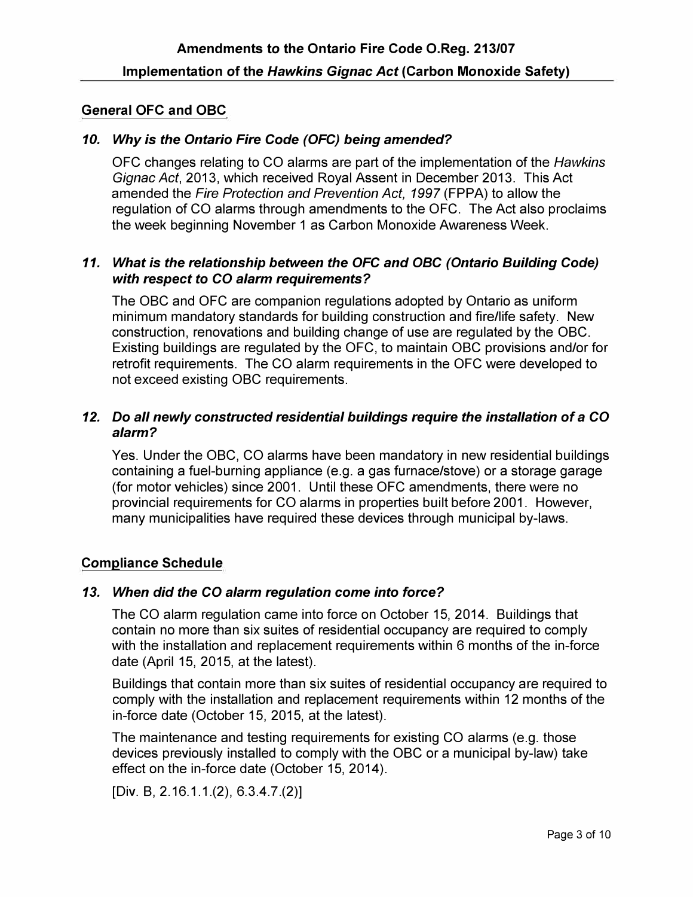# **General OFC and OBC**

### *10. Why is the Ontario Fire Code (OFC) being amended?*

OFC changes relating to CO alarms are part of the implementation of the *Hawkins Gignac Act,* 2013, which received Royal Assent in December 2013. This Act amended the *Fire Protection and Prevention Act, 1997* (FPPA) to allow the regulation of CO alarms through amendments to the OFC. The Act also proclaims the week beginning November 1 as Carbon Monoxide Awareness Week.

### *11. What is the relationship between the* **OFC** *and OBC (Ontario Building Code) with respect to* **CO** *alarm requirements?*

The OBC and OFC are companion regulations adopted by Ontario as uniform minimum mandatory standards for building construction and fire/life safety. New construction, renovations and building change of use are regulated by the OBC. Existing buildings are regulated by the OFC, to maintain OBC provisions and/or for retrofit requirements. The CO alarm requirements in the OFC were developed to not exceed existing OBC requirements.

### *12. Do all newly constructed residential buildings require the installation of a* **CO**  *alarm?*

Yes. Under the OBC, CO alarms have been mandatory in new residential buildings containing a fuel-burning appliance (e.g. a gas furnace/stove) or a storage garage (for motor vehicles) since 2001. Until these OFC amendments, there were no provincial requirements for CO alarms in properties built before 2001. However, many municipalities have required these devices through municipal by-laws.

### **Compliance Schedule**

### *13. When did the* **CO** *alarm regulation come into force?*

The CO alarm regulation came into force on October 15, 2014. Buildings that contain no more than six suites of residential occupancy are required to comply with the installation and replacement requirements within 6 months of the in-force date (April 15, 2015, at the latest).

Buildings that contain more than six suites of residential occupancy are required to comply with the installation and replacement requirements within 12 months of the in-force date (October 15, 2015, at the latest).

The maintenance and testing requirements for existing CO alarms (e.g. those devices previously installed to comply with the OBC or a municipal by-law) take effect on the in-force date (October 15, 2014).

[Div. B, 2.16.1.1.(2), 6.3.4.7.(2)]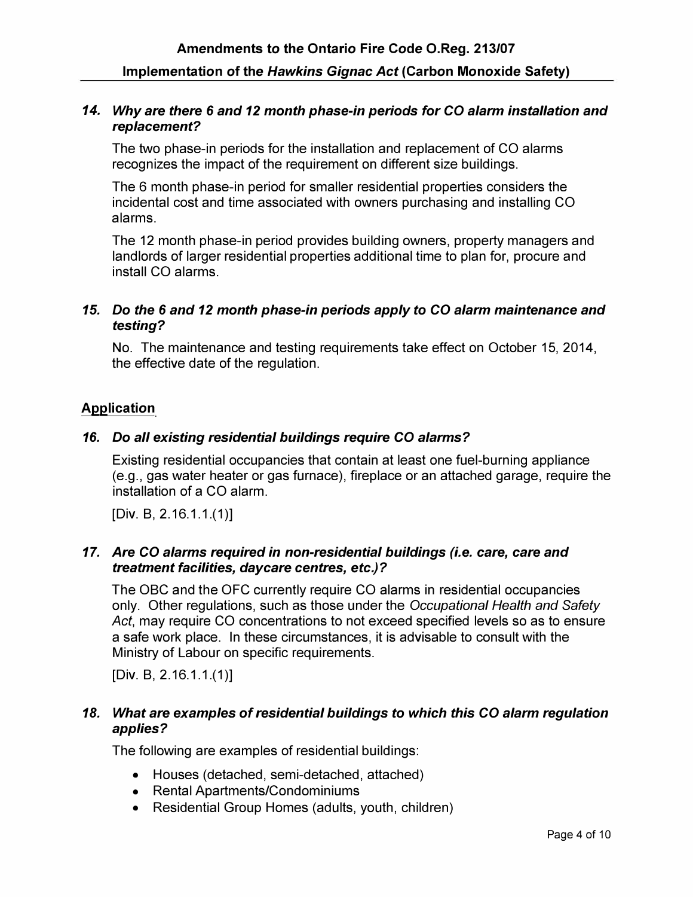### *14. Why are there* **6** *and 12 month phase-in periods for* **CO** *alarm installation and replacement?*

The two phase-in periods for the installation and replacement of CO alarms recognizes the impact of the requirement on different size buildings.

The 6 month phase-in period for smaller residential properties considers the incidental cost and time associated with owners purchasing and installing CO alarms.

The 12 month phase-in period provides building owners, property managers and landlords of larger residential properties additional time to plan for, procure and install CO alarms.

# *15. Do the* **6** *and 12 month phase-in periods apply to* **CO** *alarm maintenance and testing?*

No. The maintenance and testing requirements take effect on October 15, 2014, the effective date of the regulation.

### **Application**

### *16. Do all existing residential buildings require* **CO** *alarms?*

Existing residential occupancies that contain at least one fuel-burning appliance (e.g., gas water heater or gas furnace), fireplace or an attached garage, require the installation of a CO alarm.

[Div. B, 2.16.1.1.(1)]

### *17. Are* **CO** *alarms required in non-residential buildings (i.e. care, care and treatment facilities, daycare centres, etc.)?*

The OBC and the OFC currently require CO alarms in residential occupancies only. Other regulations, such as those under the *Occupational Health and Safety Act,* may require CO concentrations to not exceed specified levels so as to ensure a safe work place. In these circumstances, it is advisable to consult with the Ministry of Labour on specific requirements.

[Div. B, 2.16.1.1.(1)]

# *18. What are examples of residential buildings to which this* **CO** *alarm regulation applies?*

The following are examples of residential buildings:

- Houses (detached, semi-detached, attached)
- Rental Apartments/Condominiums
- Residential Group Homes (adults, youth, children)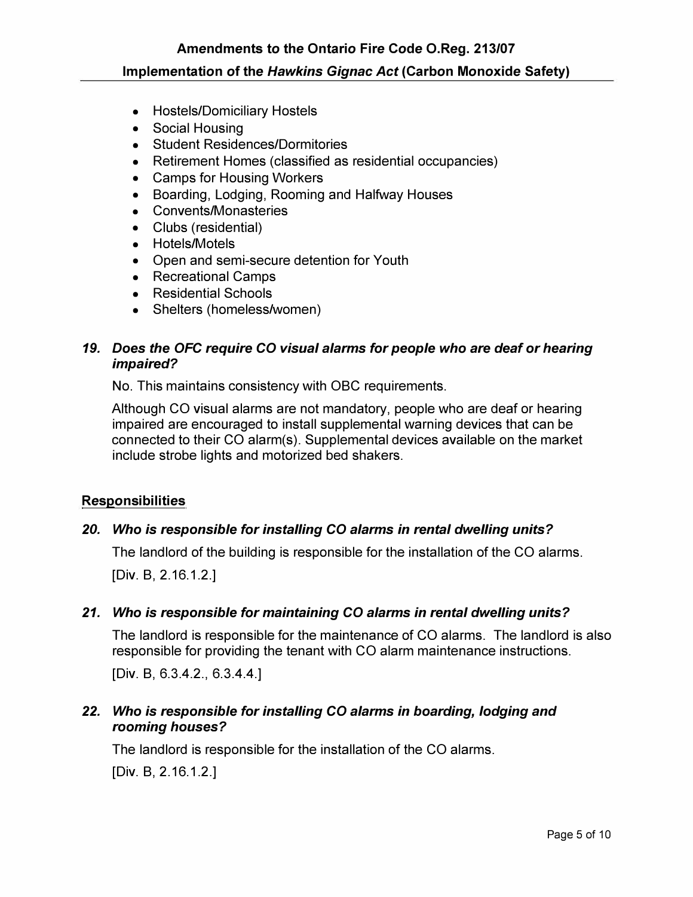- Hostels/Domiciliary Hostels
- Social Housing
- Student Residences/Dormitories
- Retirement Homes (classified as residential occupancies)
- Camps for Housing Workers
- Boarding, Lodging, Rooming and Halfway Houses
- Convents/Monasteries
- Clubs (residential)
- Hotels/Motels
- Open and semi-secure detention for Youth
- Recreational Camps
- Residential Schools
- Shelters (homeless/women)

# *19. Does the OFC require CO visual alarms for people who are deaf or hearing impaired?*

No. This maintains consistency with OBC requirements.

Although CO visual alarms are not mandatory, people who are deaf or hearing impaired are encouraged to install supplemental warning devices that can be connected to their CO alarm(s). Supplemental devices available on the market include strobe lights and motorized bed shakers.

### **Responsibilities**

# *20. Who is responsible for installing* **CO** *alarms in rental dwelling units?*

The landlord of the building is responsible for the installation of the CO alarms.

[Div. B, 2.16.1.2.]

### *21. Who is responsible for maintaining* **CO** *alarms in rental dwelling units?*

The landlord is responsible for the maintenance of CO alarms. The landlord is also responsible for providing the tenant with CO alarm maintenance instructions.

[Div. B, 6.3.4.2., 6.3.4.4.]

# *22. Who is responsible for installing CO alarms in boarding, lodging and rooming houses?*

The landlord is responsible for the installation of the CO alarms. [Div. B, 2.16.1.2.]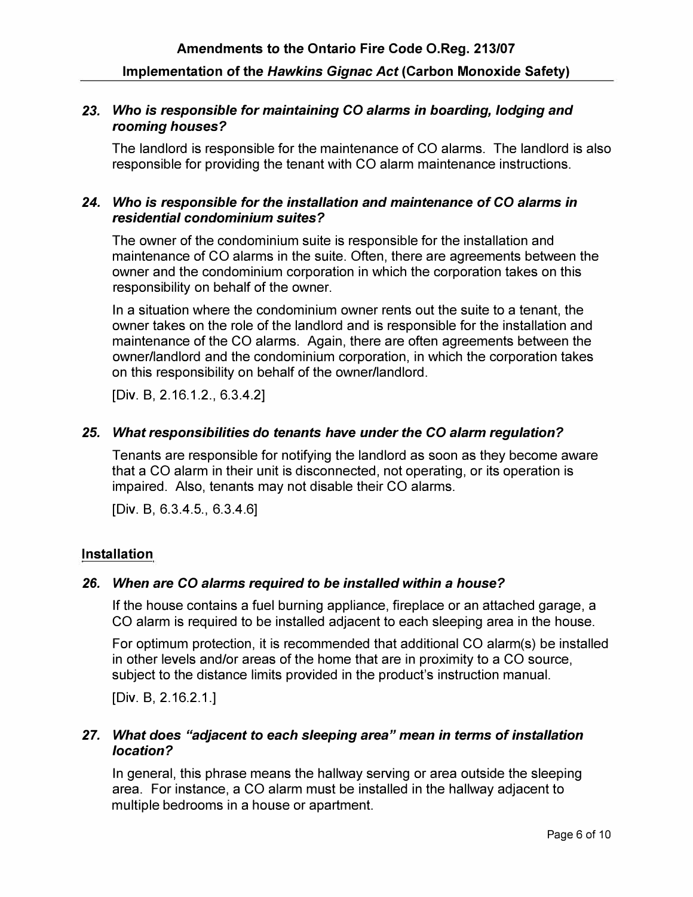### *23. Who is responsible for maintaining* **CO** *alarms in boarding, lodging and rooming houses?*

The landlord is responsible for the maintenance of CO alarms. The landlord is also responsible for providing the tenant with CO alarm maintenance instructions.

### *24. Who is responsible for the installation and maintenance of* **CO** *alarms in residential condominium suites?*

The owner of the condominium suite is responsible for the installation and maintenance of CO alarms in the suite. Often, there are agreements between the owner and the condominium corporation in which the corporation takes on this responsibility on behalf of the owner.

In a situation where the condominium owner rents out the suite to a tenant, the owner takes on the role of the landlord and is responsible for the installation and maintenance of the CO alarms. Again, there are often agreements between the owner/landlord and the condominium corporation, in which the corporation takes on this responsibility on behalf of the owner/landlord.

[Div. B, 2.16.1.2., 6.3.4.2]

### *25. What responsibilities do tenants have under the* **CO** *alarm regulation?*

Tenants are responsible for notifying the landlord as soon as they become aware that a CO alarm in their unit is disconnected, not operating, or its operation is impaired. Also, tenants may not disable their CO alarms.

[Div. B, 6.3.4.5., 6.3.4.6]

### **Installation**

### *26. When are* **CO** *alarms required to be installed within a house?*

If the house contains a fuel burning appliance, fireplace or an attached garage, a CO alarm is required to be installed adjacent to each sleeping area in the house.

For optimum protection, it is recommended that additional CO alarm(s) be installed in other levels and/or areas of the home that are in proximity to a CO source, subject to the distance limits provided in the product's instruction manual.

[Div. B, 2.16.2.1.]

### *27. What does "adjacent to each sleeping area" mean in terms of installation location?*

In general, this phrase means the hallway serving or area outside the sleeping area. For instance, a CO alarm must be installed in the hallway adjacent to multiple bedrooms in a house or apartment.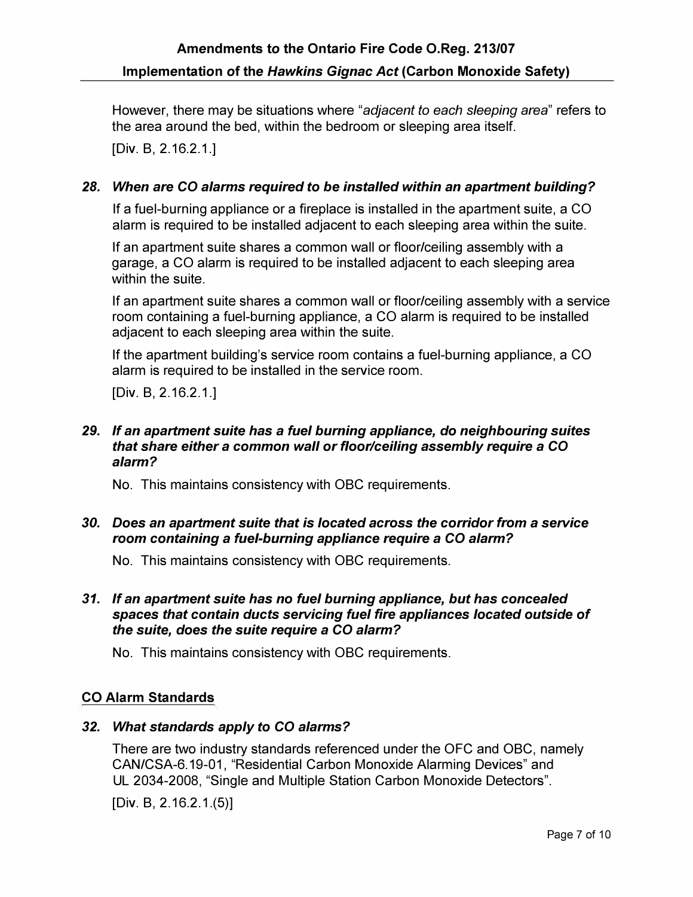However, there may be situations where *"adjacent to each sleeping area"* refers to the area around the bed, within the bedroom or sleeping area itself.

[Div. B, 2.16.2.1.]

# *28. When are* **CO** *alarms required to be installed within an apartment building?*

If a fuel-burning appliance or a fireplace is installed in the apartment suite, a CO alarm is required to be installed adjacent to each sleeping area within the suite.

If an apartment suite shares a common wall or floor/ceiling assembly with a garage, a CO alarm is required to be installed adjacent to each sleeping area within the suite.

If an apartment suite shares a common wall or floor/ceiling assembly with a service room containing a fuel-burning appliance, a CO alarm is required to be installed adjacent to each sleeping area within the suite.

If the apartment building's service room contains a fuel-burning appliance, a CO alarm is required to be installed in the service room.

[Div. B, 2.16.2.1.]

### *29. If an apartment suite has a fuel burning appliance, do neighbouring suites that share either a common wall or floor/ceiling assembly require a* **CO**  *alarm?*

No. This maintains consistency with OBC requirements.

### *30. Does an apartment suite that is located across the corridor from a service room containing a fuel-burning appliance require a* **CO** *alarm?*

No. This maintains consistency with OBC requirements.

### *31. If an apartment suite has no fuel burning appliance, but has concealed spaces that contain ducts servicing fuel fire appliances located outside of the suite, does the suite require a* **CO** *alarm?*

No. This maintains consistency with OBC requirements.

# **CO Alarm Standards**

### *32. What standards apply to* **CO** *alarms?*

There are two industry standards referenced under the OFC and OBC, namely CAN/CSA-6.19-01, "Residential Carbon Monoxide Alarming Devices" and UL 2034-2008, "Single and Multiple Station Carbon Monoxide Detectors".

[Div. B, 2.16.2.1.(5)]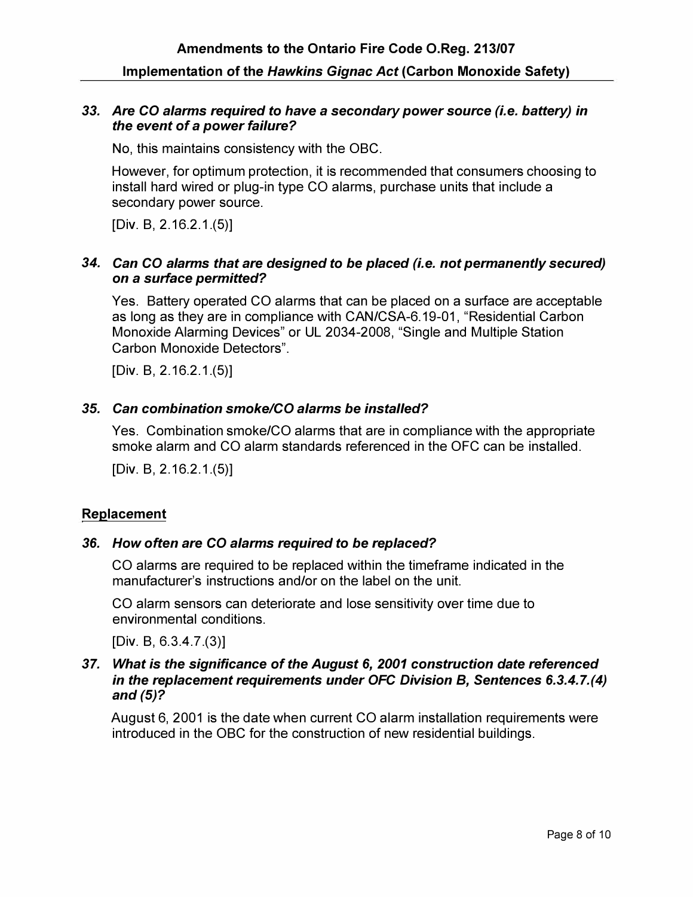#### *33. Are* **CO** *alarms required to have a secondary power source (i.e. battery) in the event of a power failure?*

No, this maintains consistency with the OBC.

However, for optimum protection, it is recommended that consumers choosing to install hard wired or plug-in type CO alarms, purchase units that include a secondary power source.

[Div. B, 2.16.2.1.(5)]

### *34. Can* **CO** *alarms that are designed to be placed (i.e. not permanently secured) on a surlace permitted?*

Yes. Battery operated CO alarms that can be placed on a surface are acceptable as long as they are in compliance with CAN/CSA-6.19-01, "Residential Carbon Monoxide Alarming Devices" or UL 2034-2008, "Single and Multiple Station Carbon Monoxide Detectors".

[Div. B, 2.16.2.1.(5)]

### *35. Can combination smoke/CO alarms be installed?*

Yes. Combination smoke/CO alarms that are in compliance with the appropriate smoke alarm and CO alarm standards referenced in the OFC can be installed.

[Div. B, 2.16.2.1.(5)]

### **Replacement**

### *36. How often are* **CO** *alarms required to be replaced?*

CO alarms are required to be replaced within the timeframe indicated in the manufacturer's instructions and/or on the label on the unit.

CO alarm sensors can deteriorate and lose sensitivity over time due to environmental conditions.

[Div. B, 6.3.4.7.(3)]

#### *37. What is the significance of the August* **6,** *2001 construction date referenced in the replacement requirements under OFC Division B, Sentences 6.3.4. 7.(4) and (5)?*

August 6, 2001 is the date when current CO alarm installation requirements were introduced in the OBC for the construction of new residential buildings.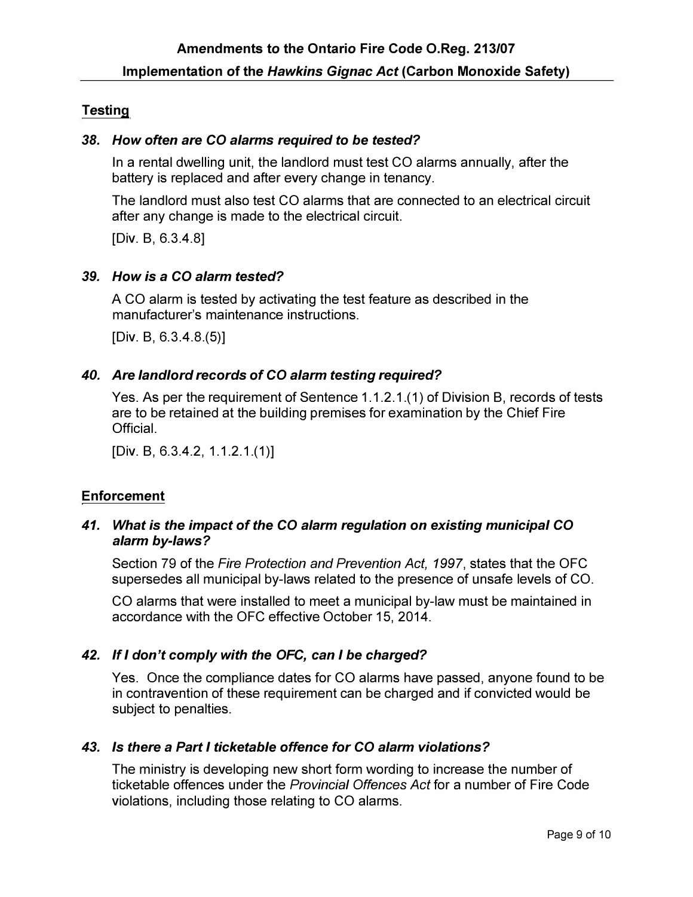# **Testing**

### *38. How often are* **CO** *alarms required to be tested?*

In a rental dwelling unit, the landlord must test CO alarms annually, after the battery is replaced and after every change in tenancy.

The landlord must also test CO alarms that are connected to an electrical circuit after any change is made to the electrical circuit.

[Div. B, 6.3.4.8]

### *39. How is a* **CO** *alarm tested?*

A CO alarm is tested by activating the test feature as described in the manufacturer's maintenance instructions.

[Div. B, 6.3.4.8.(5)]

### *40. Are landlord records of* **CO** *alarm testing required?*

Yes. As per the requirement of Sentence 1.1.2.1.(1) of Division B, records of tests are to be retained at the building premises for examination by the Chief Fire **Official** 

[Div. B, 6.3.4.2, 1.1.2.1.(1)]

# **Enforcement**

### *41. What is the impact of the* **CO** *alarm regulation on existing municipal* **CO**  *alarm by-laws?*

Section 79 of the *Fire Protection and Prevention Act, 1997,* states that the OFC supersedes all municipal by-laws related to the presence of unsafe levels of CO.

CO alarms that were installed to meet a municipal by-law must be maintained in accordance with the OFC effective October 15, 2014.

# *42. If I don't comply with the* **OFC,** *can I be charged?*

Yes. Once the compliance dates for CO alarms have passed, anyone found to be in contravention of these requirement can be charged and if convicted would be subject to penalties.

# *43. Is there a Part I ticketable offence for* **CO** *alarm violations?*

The ministry is developing new short form wording to increase the number of ticketable offences under the *Provincial Offences Act* for a number of Fire Code violations, including those relating to CO alarms.